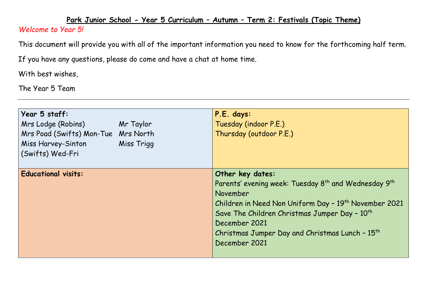## **Park Junior School - Year 5 Curriculum – Autumn – Term 2: Festivals (Topic Theme)**

## *Welcome to Year 5!*

This document will provide you with all of the important information you need to know for the forthcoming half term.

If you have any questions, please do come and have a chat at home time.

With best wishes,

The Year 5 Team

| Year 5 staff:<br>Mrs Lodge (Robins)<br>Mr Taylor<br>Mrs Poad (Swifts) Mon-Tue Mrs North<br>Miss Harvey-Sinton<br>Miss Trigg<br>(Swifts) Wed-Fri | P.E. days:<br>Tuesday (indoor P.E.)<br>Thursday (outdoor P.E.)                                                                                                                                                                                                                                                                                  |
|-------------------------------------------------------------------------------------------------------------------------------------------------|-------------------------------------------------------------------------------------------------------------------------------------------------------------------------------------------------------------------------------------------------------------------------------------------------------------------------------------------------|
| <b>Educational visits:</b>                                                                                                                      | Other key dates:<br>Parents' evening week: Tuesday 8 <sup>th</sup> and Wednesday 9 <sup>th</sup><br>November<br>Children in Need Non Uniform Day - 19 <sup>th</sup> November 2021<br>Save The Children Christmas Jumper Day - 10 <sup>th</sup><br>December 2021<br>Christmas Jumper Day and Christmas Lunch - 15 <sup>th</sup><br>December 2021 |